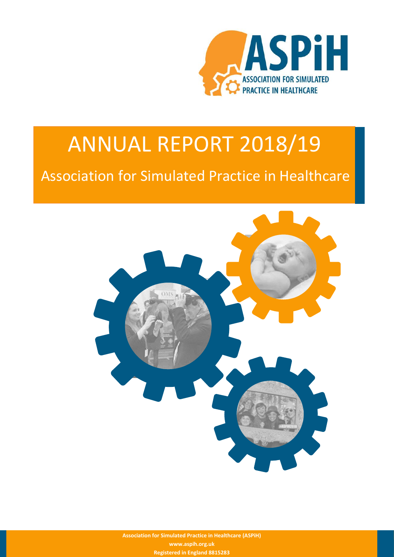

## ANNUAL REPORT 2018/19

### Association for Simulated Practice in Healthcare



**Association for Simulated Practice in Healthcare (ASPiH) www.aspih.org.uk Registered in England 8815283**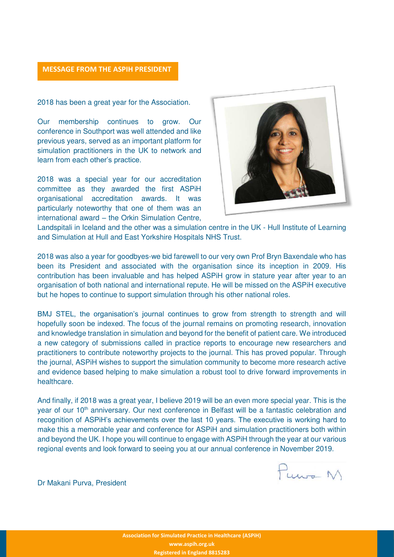#### **MESSAGE FROM THE ASPIH PRESIDENT**

2018 has been a great year for the Association.

Our membership continues to grow. Our conference in Southport was well attended and like previous years, served as an important platform for simulation practitioners in the UK to network and learn from each other's practice.

2018 was a special year for our accreditation committee as they awarded the first ASPiH organisational accreditation awards. It was particularly noteworthy that one of them was an international award – the Orkin Simulation Centre,



Landspitali in Iceland and the other was a simulation centre in the UK - Hull Institute of Learning and Simulation at Hull and East Yorkshire Hospitals NHS Trust.

2018 was also a year for goodbyes-we bid farewell to our very own Prof Bryn Baxendale who has been its President and associated with the organisation since its inception in 2009. His contribution has been invaluable and has helped ASPiH grow in stature year after year to an organisation of both national and international repute. He will be missed on the ASPiH executive but he hopes to continue to support simulation through his other national roles.

BMJ STEL, the organisation's journal continues to grow from strength to strength and will hopefully soon be indexed. The focus of the journal remains on promoting research, innovation and knowledge translation in simulation and beyond for the benefit of patient care. We introduced a new category of submissions called in practice reports to encourage new researchers and practitioners to contribute noteworthy projects to the journal. This has proved popular. Through the journal, ASPiH wishes to support the simulation community to become more research active and evidence based helping to make simulation a robust tool to drive forward improvements in healthcare.

And finally, if 2018 was a great year, I believe 2019 will be an even more special year. This is the year of our 10<sup>th</sup> anniversary. Our next conference in Belfast will be a fantastic celebration and recognition of ASPiH's achievements over the last 10 years. The executive is working hard to make this a memorable year and conference for ASPiH and simulation practitioners both within and beyond the UK. I hope you will continue to engage with ASPiH through the year at our various regional events and look forward to seeing you at our annual conference in November 2019.

Punto M

Dr Makani Purva, President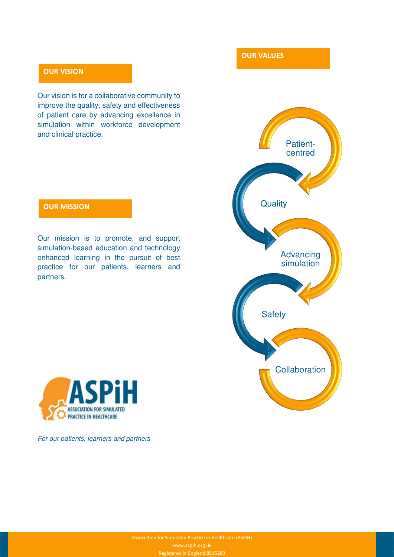#### **OUR VISION**

Our vision is for a collaborative community to improve the quality, safety and effectiveness of patient care by advancing excellence in simulation within workforce development and clinical practice.

#### **OUR MISSION**

Our mission is to promote, and support simulation-based education and technology enhanced learning in the pursuit of best practice for our patients, learners and partners.



**OUR VALUES** 



For our patients, learners and partners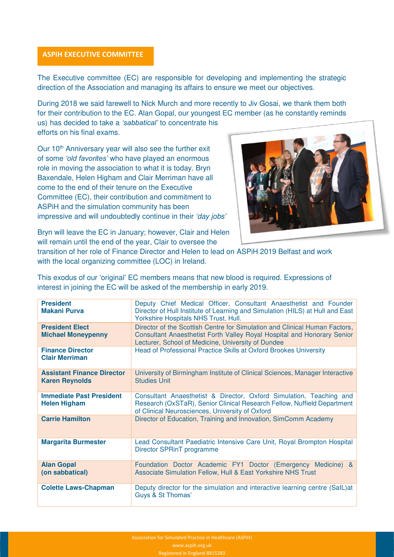#### **ASPIH EXECUTIVE COMMITTEE**

The Executive committee (EC) are responsible for developing and implementing the strategic direction of the Association and managing its affairs to ensure we meet our objectives.

During 2018 we said farewell to Nick Murch and more recently to Jiv Gosai, we thank them both for their contribution to the EC. Alan Gopal, our youngest EC member (as he constantly reminds us) has decided to take a *'sabbatical'* to concentrate his

efforts on his final exams.

Our 10<sup>th</sup> Anniversary year will also see the further exit of some *'old favorites'* who have played an enormous role in moving the association to what it is today. Bryn Baxendale, Helen Higham and Clair Merriman have all come to the end of their tenure on the Executive Committee (EC), their contribution and commitment to ASPiH and the simulation community has been impressive and will undoubtedly continue in their *'*day jobs*'*



Bryn will leave the EC in January; however, Clair and Helen will remain until the end of the year, Clair to oversee the

transition of her role of Finance Director and Helen to lead on ASPiH 2019 Belfast and work with the local organizing committee (LOC) in Ireland.

This exodus of our 'original' EC members means that new blood is required. Expressions of interest in joining the EC will be asked of the membership in early 2019.

| <b>President</b><br><b>Makani Purva</b>                    | Deputy Chief Medical Officer, Consultant Anaesthetist and Founder<br>Director of Hull Institute of Learning and Simulation (HILS) at Hull and East<br>Yorkshire Hospitals NHS Trust, Hull.                  |
|------------------------------------------------------------|-------------------------------------------------------------------------------------------------------------------------------------------------------------------------------------------------------------|
| <b>President Elect</b><br><b>Michael Moneypenny</b>        | Director of the Scottish Centre for Simulation and Clinical Human Factors,<br>Consultant Anaesthetist Forth Valley Royal Hospital and Honorary Senior<br>Lecturer, School of Medicine, University of Dundee |
| <b>Finance Director</b><br><b>Clair Merriman</b>           | Head of Professional Practice Skills at Oxford Brookes University                                                                                                                                           |
| <b>Assistant Finance Director</b><br><b>Karen Reynolds</b> | University of Birmingham Institute of Clinical Sciences, Manager Interactive<br><b>Studies Unit</b>                                                                                                         |
| <b>Immediate Past President</b><br><b>Helen Higham</b>     | Consultant Anaesthetist & Director, Oxford Simulation, Teaching and<br>Research (OxSTaR), Senior Clinical Research Fellow, Nuffield Department<br>of Clinical Neurosciences, University of Oxford           |
| <b>Carrie Hamilton</b>                                     | Director of Education, Training and Innovation, SimComm Academy                                                                                                                                             |
| <b>Margarita Burmester</b>                                 | Lead Consultant Paediatric Intensive Care Unit, Royal Brompton Hospital<br>Director SPRinT programme                                                                                                        |
| <b>Alan Gopal</b><br>(on sabbatical)                       | Foundation Doctor Academic FY1 Doctor (Emergency Medicine) &<br>Associate Simulation Fellow, Hull & East Yorkshire NHS Trust                                                                                |
| <b>Colette Laws-Chapman</b>                                | Deputy director for the simulation and interactive learning centre (SalL) at<br>Guys & St Thomas'                                                                                                           |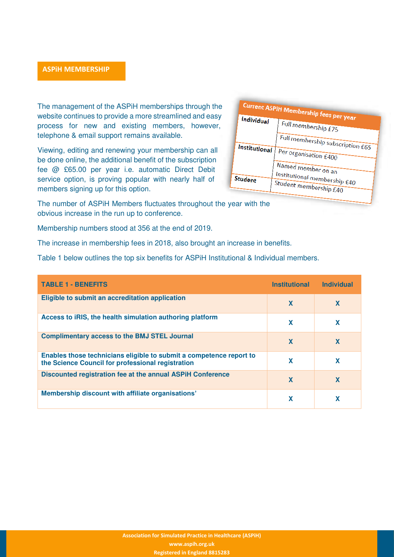#### **ASPiH MEMBERSHIP**

The management of the ASPiH memberships through the website continues to provide a more streamlined and easy process for new and existing members, however, telephone & email support remains available.

Viewing, editing and renewing your membership can all be done online, the additional benefit of the subscription fee @ £65.00 per year i.e. automatic Direct Debit service option, is proving popular with nearly half of members signing up for this option.

**Current ASPiH Membership fees per year**<br>Individual Latell **Individual** Full membership £75 Full membership subscription £65 **Institutional** Per organisation £400 Named member on an Institutional membership £40 Student Student membership £40

The number of ASPiH Members fluctuates throughout the year with the obvious increase in the run up to conference.

Membership numbers stood at 356 at the end of 2019.

The increase in membership fees in 2018, also brought an increase in benefits.

Table 1 below outlines the top six benefits for ASPiH Institutional & Individual members.

| <b>TABLE 1 - BENEFITS</b>                                                                                                | <b>Institutional</b> | <b>Individual</b> |
|--------------------------------------------------------------------------------------------------------------------------|----------------------|-------------------|
| Eligible to submit an accreditation application                                                                          | X                    | X                 |
| Access to iRIS, the health simulation authoring platform                                                                 | X                    | x                 |
| <b>Complimentary access to the BMJ STEL Journal</b>                                                                      | X                    | X                 |
| Enables those technicians eligible to submit a competence report to<br>the Science Council for professional registration | X                    | x                 |
| Discounted registration fee at the annual ASPIH Conference                                                               | X                    | X                 |
| Membership discount with affiliate organisations'                                                                        | X                    |                   |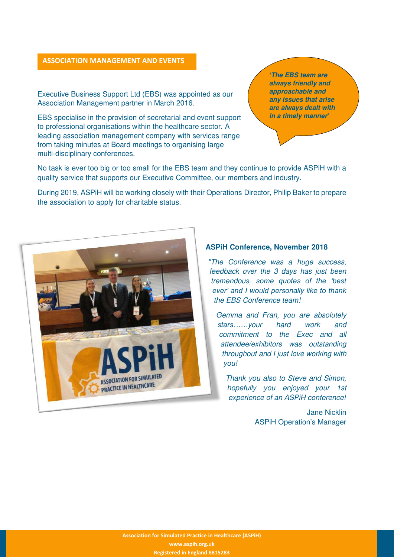#### **ASSOCIATION MANAGEMENT AND EVENTS**

Executive Business Support Ltd (EBS) was appointed as our Association Management partner in March 2016.

EBS specialise in the provision of secretarial and event support to professional organisations within the healthcare sector. A leading association management company with services range from taking minutes at Board meetings to organising large multi-disciplinary conferences.

*'***The EBS team are always friendly and approachable and any issues that arise are always dealt with in a timely manner***'*

No task is ever too big or too small for the EBS team and they continue to provide ASPiH with a quality service that supports our Executive Committee, our members and industry.

During 2019, ASPiH will be working closely with their Operations Director, Philip Baker to prepare the association to apply for charitable status.



#### **ASPiH Conference, November 2018**

"The Conference was a huge success, feedback over the 3 days has just been tremendou*s, some quotes of the 'best ever' and I would personally like to thank*  the EBS Conference team!

Gemma and Fran, you are absolutely *stars……*your hard work and commitment to the Exec and all attendee/exhibitors was outstanding throughout and I just love working with you!

Thank you also to Steve and Simon, hopefully you enjoyed your 1st experience of an ASPiH conference!

> Jane Nicklin ASPiH Operation's Manager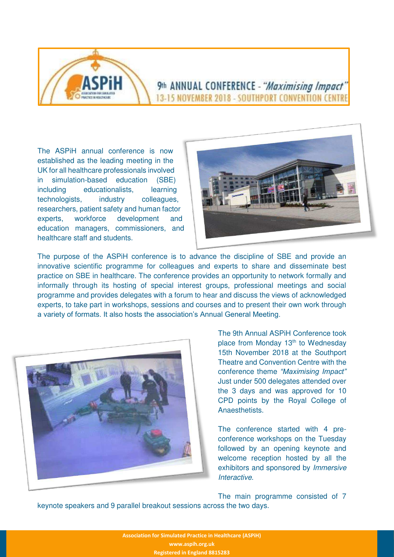

#### 9th ANNUAL CONFERENCE - "Maximising Impact" 13-15 NOVEMBER 2018 - SOUTHPORT CONVENTION CENTRE

The ASPiH annual conference is now established as the leading meeting in the UK for all healthcare professionals involved in simulation-based education (SBE) including educationalists, learning technologists, industry colleagues, researchers, patient safety and human factor experts, workforce development and education managers, commissioners, and healthcare staff and students.



The purpose of the ASPiH conference is to advance the discipline of SBE and provide an innovative scientific programme for colleagues and experts to share and disseminate best practice on SBE in healthcare. The conference provides an opportunity to network formally and informally through its hosting of special interest groups, professional meetings and social programme and provides delegates with a forum to hear and discuss the views of acknowledged experts, to take part in workshops, sessions and courses and to present their own work through a variety of formats. It also hosts the association's Annual General Meeting.



The 9th Annual ASPiH Conference took place from Monday 13<sup>th</sup> to Wednesday 15th November 2018 at the Southport Theatre and Convention Centre with the conference theme *"Maximising Impact"*  Just under 500 delegates attended over the 3 days and was approved for 10 CPD points by the Royal College of **Anaesthetists** 

The conference started with 4 preconference workshops on the Tuesday followed by an opening keynote and welcome reception hosted by all the exhibitors and sponsored by Immersive Interactive.

The main programme consisted of 7 keynote speakers and 9 parallel breakout sessions across the two days.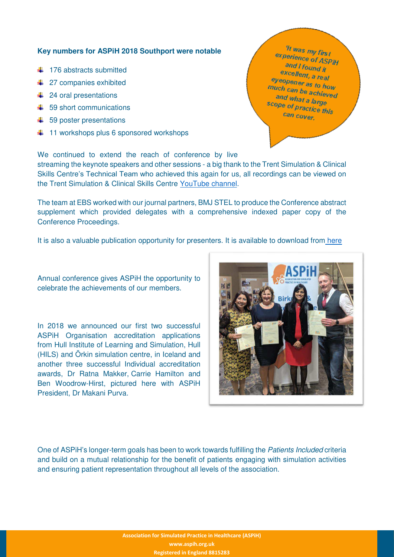#### **Key numbers for ASPiH 2018 Southport were notable**

- $\ddagger$  176 abstracts submitted
- **↓ 27 companies exhibited**
- $\leftarrow$  24 oral presentations
- $\pm$  59 short communications
- $\ddot{\bullet}$  59 poster presentations
- $\ddot{\bullet}$  11 workshops plus 6 sponsored workshops

We continued to extend the reach of conference by live streaming the keynote speakers and other sessions - a big thank to the Trent Simulation & Clinical Skills Centre's Technical Team who achieved this again for us, all recordings can be viewed on the Trent Simulation & Clinical Skills Centre [YouTube channel.](https://www.youtube.com/channel/UCPZeaBKyhk-pNEOKO6aP8QA?sub_confirmation=1)

The team at EBS worked with our journal partners, BMJ STEL to produce the Conference abstract supplement which provided delegates with a comprehensive indexed paper copy of the Conference Proceedings.

It is also a valuable publication opportunity for presenters. It is available to download from here

Annual conference gives ASPiH the opportunity to celebrate the achievements of our members.

In 2018 we announced our first two successful ASPiH Organisation accreditation applications from Hull Institute of Learning and Simulation, Hull (HILS) and Örkin simulation centre, in Iceland and another three successful Individual accreditation awards, Dr Ratna Makker, Carrie Hamilton and Ben Woodrow-Hirst, pictured here with ASPiH President, Dr Makani Purva.



One of ASPiH's longer-term goals has been to work towards fulfilling the Patients Included criteria and build on a mutual relationship for the benefit of patients engaging with simulation activities and ensuring patient representation throughout all levels of the association.

> **Association for Simulated Practice in Healthcare (ASPiH) www.aspih.org.uk Registered in England 8815283**

<sup>11</sup> was my first experience of ASPIH and I found it excellent, a real eyeopener as to how<br>much can be as to how much can be achieved and what a large scope of practice this can cover.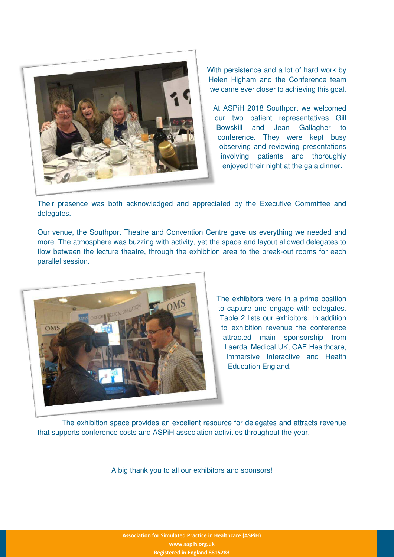

With persistence and a lot of hard work by Helen Higham and the Conference team we came ever closer to achieving this goal.

At ASPiH 2018 Southport we welcomed our two patient representatives Gill Bowskill and Jean Gallagher to conference. They were kept busy observing and reviewing presentations involving patients and thoroughly enjoyed their night at the gala dinner.

Their presence was both acknowledged and appreciated by the Executive Committee and delegates.

Our venue, the Southport Theatre and Convention Centre gave us everything we needed and more. The atmosphere was buzzing with activity, yet the space and layout allowed delegates to flow between the lecture theatre, through the exhibition area to the break-out rooms for each parallel session.



The exhibitors were in a prime position to capture and engage with delegates. Table 2 lists our exhibitors. In addition to exhibition revenue the conference attracted main sponsorship from Laerdal Medical UK, CAE Healthcare, Immersive Interactive and Health Education England.

The exhibition space provides an excellent resource for delegates and attracts revenue that supports conference costs and ASPiH association activities throughout the year.

A big thank you to all our exhibitors and sponsors!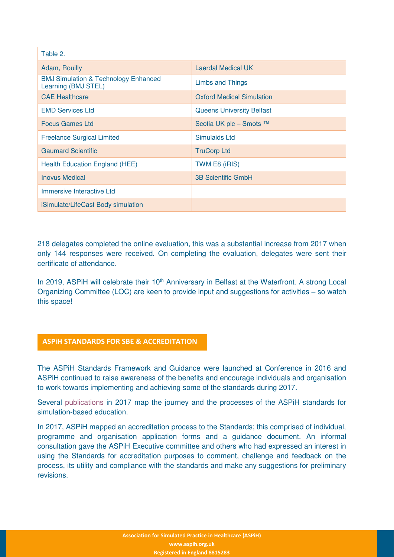| Table 2.                                                               |                                  |  |  |  |
|------------------------------------------------------------------------|----------------------------------|--|--|--|
| Adam, Rouilly                                                          | Laerdal Medical UK               |  |  |  |
| <b>BMJ Simulation &amp; Technology Enhanced</b><br>Learning (BMJ STEL) | <b>Limbs and Things</b>          |  |  |  |
| <b>CAE Healthcare</b>                                                  | <b>Oxford Medical Simulation</b> |  |  |  |
| <b>EMD Services Ltd</b>                                                | <b>Queens University Belfast</b> |  |  |  |
| <b>Focus Games Ltd</b>                                                 | Scotia UK plc – Smots ™          |  |  |  |
| <b>Freelance Surgical Limited</b>                                      | Simulaids Ltd                    |  |  |  |
| <b>Gaumard Scientific</b>                                              | <b>TruCorp Ltd</b>               |  |  |  |
| <b>Health Education England (HEE)</b>                                  | TWM E8 (iRIS)                    |  |  |  |
| <b>Inovus Medical</b>                                                  | <b>3B Scientific GmbH</b>        |  |  |  |
| Immersive Interactive Ltd                                              |                                  |  |  |  |
| iSimulate/LifeCast Body simulation                                     |                                  |  |  |  |

218 delegates completed the online evaluation, this was a substantial increase from 2017 when only 144 responses were received. On completing the evaluation, delegates were sent their certificate of attendance.

In 2019, ASPiH will celebrate their 10<sup>th</sup> Anniversary in Belfast at the Waterfront. A strong Local Organizing Committee (LOC) are keen to provide input and suggestions for activities – so watch this space!

#### **ASPiH STANDARDS FOR SBE & ACCREDITATION**

The ASPiH Standards Framework and Guidance were launched at Conference in 2016 and ASPiH continued to raise awareness of the benefits and encourage individuals and organisation to work towards implementing and achieving some of the standards during 2017.

Several [publications](https://aspih.org.uk/standards-framework-for-sbe/) in 2017 map the journey and the processes of the ASPiH standards for simulation-based education.

In 2017, ASPiH mapped an accreditation process to the Standards; this comprised of individual, programme and organisation application forms and a guidance document. An informal consultation gave the ASPiH Executive committee and others who had expressed an interest in using the Standards for accreditation purposes to comment, challenge and feedback on the process, its utility and compliance with the standards and make any suggestions for preliminary revisions.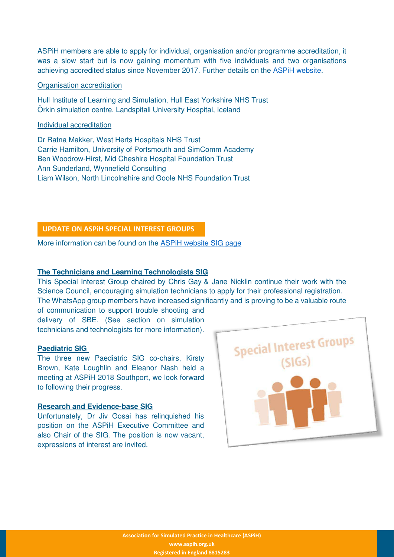ASPiH members are able to apply for individual, organisation and/or programme accreditation, it was a slow start but is now gaining momentum with five individuals and two organisations achieving accredited status since November 2017. Further details on the [ASPiH website.](https://aspih.org.uk/accreditation/)

#### Organisation accreditation

Hull Institute of Learning and Simulation, Hull East Yorkshire NHS Trust Örkin simulation centre, Landspitali University Hospital, Iceland

#### Individual accreditation

Dr Ratna Makker, West Herts Hospitals NHS Trust Carrie Hamilton, University of Portsmouth and SimComm Academy Ben Woodrow-Hirst, Mid Cheshire Hospital Foundation Trust Ann Sunderland, Wynnefield Consulting Liam Wilson, North Lincolnshire and Goole NHS Foundation Trust

#### **UPDATE ON ASPiH SPECIAL INTEREST GROUPS**

More information can be found on the [ASPiH website SIG page](https://aspih.org.uk/resources/sigs/)

#### **The Technicians and Learning Technologists SIG**

This Special Interest Group chaired by Chris Gay & Jane Nicklin continue their work with the Science Council, encouraging simulation technicians to apply for their professional registration. The WhatsApp group members have increased significantly and is proving to be a valuable route

of communication to support trouble shooting and delivery of SBE. (See section on simulation technicians and technologists for more information).

#### **Paediatric SIG**

The three new Paediatric SIG co-chairs, Kirsty Brown, Kate Loughlin and Eleanor Nash held a meeting at ASPiH 2018 Southport, we look forward to following their progress.

#### **Research and Evidence-base SIG**

Unfortunately, Dr Jiv Gosai has relinquished his position on the ASPiH Executive Committee and also Chair of the SIG. The position is now vacant, expressions of interest are invited.

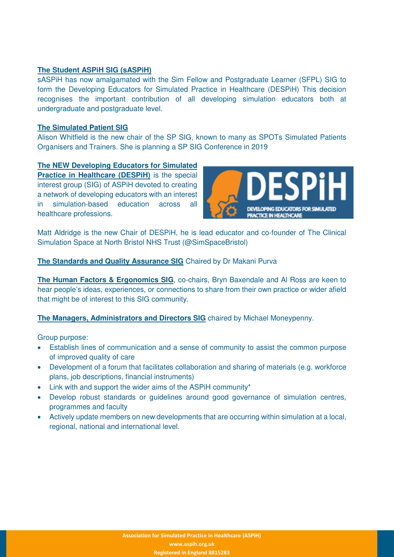#### **The Student ASPiH SIG (sASPiH)**

sASPiH has now amalgamated with the Sim Fellow and Postgraduate Learner (SFPL) SIG to form the Developing Educators for Simulated Practice in Healthcare (DESPiH) This decision recognises the important contribution of all developing simulation educators both at undergraduate and postgraduate level.

#### **The Simulated Patient SIG**

Alison Whitfield is the new chair of the SP SIG, known to many as SPOTs Simulated Patients Organisers and Trainers. She is planning a SP SIG Conference in 2019

#### **The NEW Developing Educators for Simulated**

**Practice in Healthcare (DESPiH)** is the special interest group (SIG) of ASPiH devoted to creating a network of developing educators with an interest in simulation-based education across all healthcare professions.



Matt Aldridge is the new Chair of DESPiH, he is lead educator and co-founder of The Clinical Simulation Space at North Bristol NHS Trust (@SimSpaceBristol)

#### **The Standards and Quality Assurance SIG** Chaired by Dr Makani Purva

**The Human Factors & Ergonomics SIG**, co-chairs, Bryn Baxendale and Al Ross are keen to hear people's ideas, experiences, or connections to share from their own practice or wider afield that might be of interest to this SIG community.

#### **The Managers, Administrators and Directors SIG** chaired by Michael Moneypenny.

Group purpose:

- Establish lines of communication and a sense of community to assist the common purpose of improved quality of care
- Development of a forum that facilitates collaboration and sharing of materials (e.g. workforce plans, job descriptions, financial instruments)
- Link with and support the wider aims of the ASPiH community\*
- Develop robust standards or guidelines around good governance of simulation centres, programmes and faculty
- Actively update members on new developments that are occurring within simulation at a local, regional, national and international level.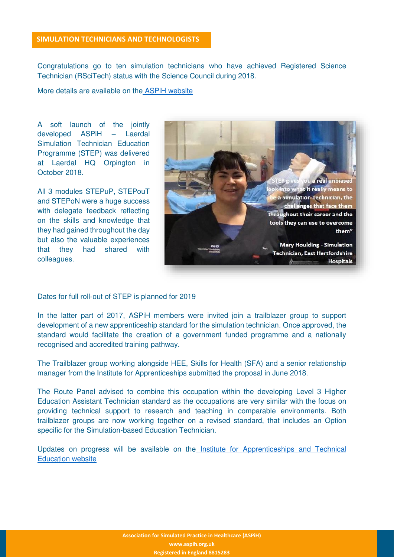#### **SIMULATION TECHNICIANS AND TECHNOLOGISTS**

Congratulations go to ten simulation technicians who have achieved Registered Science Technician (RSciTech) status with the Science Council during 2018.

More details are available on th[e ASPiH website](https://aspih.org.uk/science-council/)

A soft launch of the jointly developed ASPiH – Laerdal Simulation Technician Education Programme (STEP) was delivered at Laerdal HQ Orpington in October 2018.

All 3 modules STEPuP, STEPouT and STEPoN were a huge success with delegate feedback reflecting on the skills and knowledge that they had gained throughout the day but also the valuable experiences that they had shared with colleagues.



Dates for full roll-out of STEP is planned for 2019

In the latter part of 2017, ASPiH members were invited join a trailblazer group to support development of a new apprenticeship standard for the simulation technician. Once approved, the standard would facilitate the creation of a government funded programme and a nationally recognised and accredited training pathway.

The Trailblazer group working alongside HEE, Skills for Health (SFA) and a senior relationship manager from the Institute for Apprenticeships submitted the proposal in June 2018.

The Route Panel advised to combine this occupation within the developing Level 3 Higher Education Assistant Technician standard as the occupations are very similar with the focus on providing technical support to research and teaching in comparable environments. Both trailblazer groups are now working together on a revised standard, that includes an Option specific for the Simulation-based Education Technician.

Updates on progress will be available on th[e Institute for Apprenticeships and Technical](https://www.instituteforapprenticeships.org/apprenticeship-standards/?keywords=education)  [Education website](https://www.instituteforapprenticeships.org/apprenticeship-standards/?keywords=education)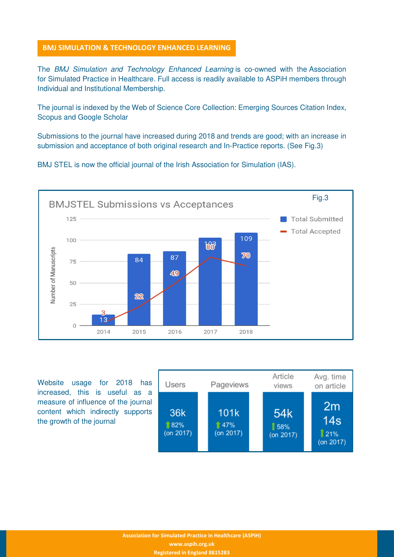#### **BMJ SIMULATION & TECHNOLOGY ENHANCED LEARNING**

The BMJ Simulation and Technology Enhanced Learning is co-owned with the Association for Simulated Practice in Healthcare. Full access is readily available to ASPiH members through Individual and Institutional Membership.

The journal is indexed by the Web of Science Core Collection: Emerging Sources Citation Index, Scopus and Google Scholar

Submissions to the journal have increased during 2018 and trends are good; with an increase in submission and acceptance of both original research and In-Practice reports. (See Fig.3)

BMJ STEL is now the official journal of the Irish Association for Simulation (IAS).



Website usage for 2018 has increased, this is useful as a measure of influence of the journal content which indirectly supports the growth of the journal

| <b>Users</b>            | Pageviews                | Article<br>views                    | Avg. time<br>on article                   |
|-------------------------|--------------------------|-------------------------------------|-------------------------------------------|
| 36k<br>82%<br>(on 2017) | 101k<br>47%<br>(on 2017) | 54 <sub>k</sub><br>58%<br>(on 2017) | 2m<br>14 <sub>s</sub><br>21%<br>(on 2017) |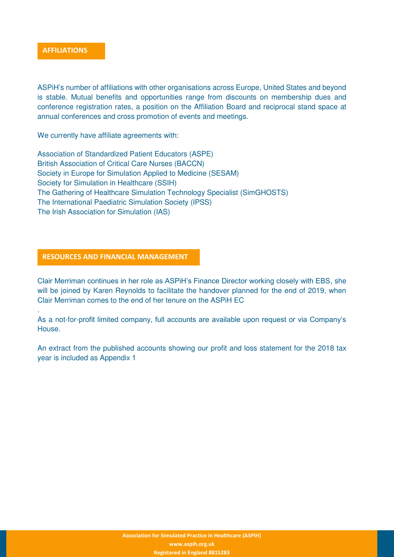

.

ASPiH's number of affiliations with other organisations across Europe, United States and beyond is stable. Mutual benefits and opportunities range from discounts on membership dues and conference registration rates, a position on the Affiliation Board and reciprocal stand space at annual conferences and cross promotion of events and meetings.

We currently have affiliate agreements with:

Association of Standardized Patient Educators (ASPE) British Association of Critical Care Nurses (BACCN) Society in Europe for Simulation Applied to Medicine (SESAM) Society for Simulation in Healthcare (SSIH) The Gathering of Healthcare Simulation Technology Specialist (SimGHOSTS) The International Paediatric Simulation Society (IPSS) The Irish Association for Simulation (IAS)

#### **RESOURCES AND FINANCIAL MANAGEMENT**

Clair Merriman continues in her role as ASPiH's Finance Director working closely with EBS, she will be joined by Karen Reynolds to facilitate the handover planned for the end of 2019, when Clair Merriman comes to the end of her tenure on the ASPiH EC

As a not-for-profit limited company, full accounts are available upon request or via Company's House.

An extract from the published accounts showing our profit and loss statement for the 2018 tax year is included as Appendix 1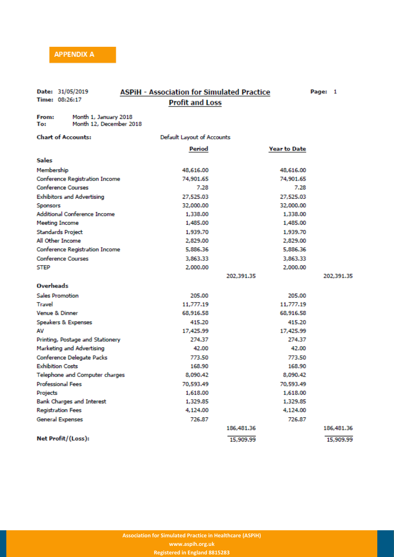#### Date: 31/05/2019 Time: 08:26:17

#### **ASPIH - Association for Simulated Practice Profit and Loss**

Page: 1

Month 1, January 2018 From: Month 12, December 2018 To:

#### **Chart of Accounts:**

#### Default Layout of Accounts

|                                       | Period    |            | <b>Year to Date</b> |            |
|---------------------------------------|-----------|------------|---------------------|------------|
| Sales                                 |           |            |                     |            |
| Membership                            | 48,616,00 |            | 48,616.00           |            |
| <b>Conference Registration Income</b> | 74,901.65 |            | 74,901.65           |            |
| <b>Conference Courses</b>             | 7.28      |            | 7.28                |            |
| <b>Exhibitors and Advertising</b>     | 27.525.03 |            | 27,525.03           |            |
| Sponsors                              | 32,000.00 |            | 32,000.00           |            |
| <b>Additional Conference Income</b>   | 1,338.00  |            | 1,338.00            |            |
| <b>Meeting Income</b>                 | 1,485.00  |            | 1,485,00            |            |
| <b>Standards Project</b>              | 1,939.70  |            | 1,939.70            |            |
| All Other Income                      | 2,829.00  |            | 2,829.00            |            |
| Conference Registration Income        | 5,886.36  |            | 5,886.36            |            |
| <b>Conference Courses</b>             | 3,863,33  |            | 3,863,33            |            |
| <b>STEP</b>                           | 2,000,00  |            | 2,000,00            |            |
|                                       |           | 202,391.35 |                     | 202,391.35 |
| <b>Overheads</b>                      |           |            |                     |            |
| <b>Sales Promotion</b>                | 205.00    |            | 205.00              |            |
| <b>Travel</b>                         | 11,777,19 |            | 11,777,19           |            |
| <b>Venue &amp; Dinner</b>             | 68,916.58 |            | 68,916,58           |            |
| Speakers & Expenses                   | 415.20    |            | 415.20              |            |
| AV                                    | 17,425.99 |            | 17,425.99           |            |
| Printing, Postage and Stationery      | 274.37    |            | 274.37              |            |
| Marketing and Advertising             | 42.00     |            | 42.00               |            |
| Conference Delegate Packs             | 773.50    |            | 773.50              |            |
| <b>Exhibition Costs</b>               | 168.90    |            | 168.90              |            |
| Telephone and Computer charges        | 8,090,42  |            | 8,090.42            |            |
| <b>Professional Fees</b>              | 70,593.49 |            | 70,593.49           |            |
| Projects                              | 1,618.00  |            | 1,618.00            |            |
| <b>Bank Charges and Interest</b>      | 1,329.85  |            | 1,329.85            |            |
| <b>Registration Fees</b>              | 4.124.00  |            | 4,124.00            |            |
| <b>General Expenses</b>               | 726.87    |            | 726.87              |            |
|                                       |           | 186,481.36 |                     | 186,481.36 |
| Net Profit/(Loss):                    |           | 15,909.99  |                     | 15,909.99  |